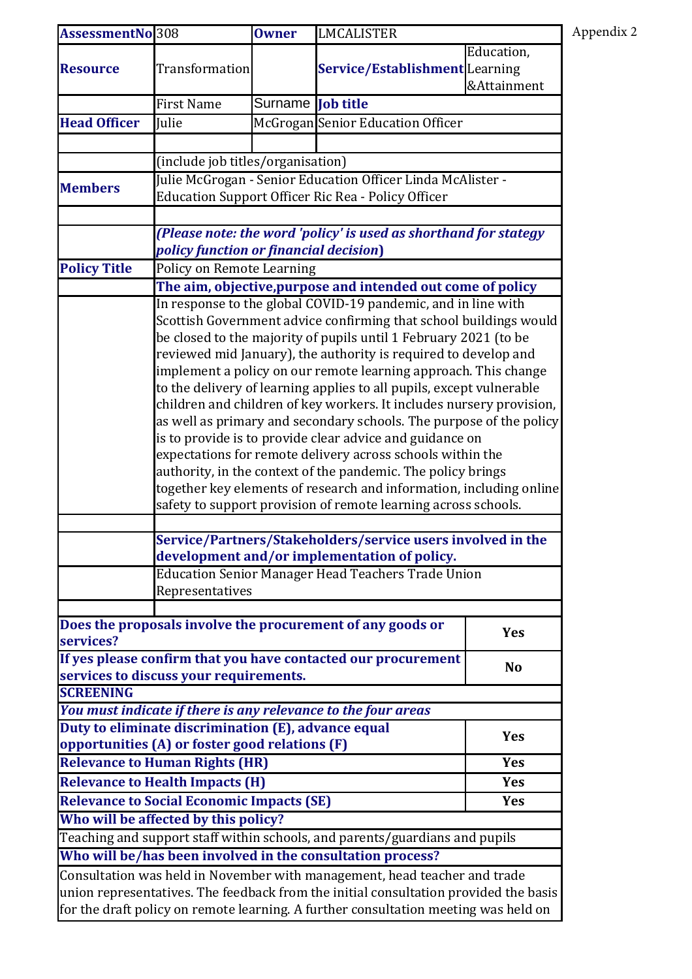| Appendix 2 |
|------------|
|------------|

| AssessmentNo 308                                                                     |                                                                                                                                                                                                                                                                                                                                                                                                                                                                                                                                                                                                                                                                                                                                                                                                                          | <b>Owner</b>             | <b>LMCALISTER</b>                                             |                           |  |
|--------------------------------------------------------------------------------------|--------------------------------------------------------------------------------------------------------------------------------------------------------------------------------------------------------------------------------------------------------------------------------------------------------------------------------------------------------------------------------------------------------------------------------------------------------------------------------------------------------------------------------------------------------------------------------------------------------------------------------------------------------------------------------------------------------------------------------------------------------------------------------------------------------------------------|--------------------------|---------------------------------------------------------------|---------------------------|--|
| <b>Resource</b>                                                                      | <b>Transformation</b>                                                                                                                                                                                                                                                                                                                                                                                                                                                                                                                                                                                                                                                                                                                                                                                                    |                          | <b>Service/Establishment</b> Learning                         | Education,<br>&Attainment |  |
|                                                                                      | <b>First Name</b>                                                                                                                                                                                                                                                                                                                                                                                                                                                                                                                                                                                                                                                                                                                                                                                                        | Surname <b>Job title</b> |                                                               |                           |  |
| <b>Head Officer</b>                                                                  | Julie                                                                                                                                                                                                                                                                                                                                                                                                                                                                                                                                                                                                                                                                                                                                                                                                                    |                          | McGrogan Senior Education Officer                             |                           |  |
|                                                                                      |                                                                                                                                                                                                                                                                                                                                                                                                                                                                                                                                                                                                                                                                                                                                                                                                                          |                          |                                                               |                           |  |
|                                                                                      | (include job titles/organisation)                                                                                                                                                                                                                                                                                                                                                                                                                                                                                                                                                                                                                                                                                                                                                                                        |                          |                                                               |                           |  |
|                                                                                      | Julie McGrogan - Senior Education Officer Linda McAlister -                                                                                                                                                                                                                                                                                                                                                                                                                                                                                                                                                                                                                                                                                                                                                              |                          |                                                               |                           |  |
| <b>Members</b>                                                                       | <b>Education Support Officer Ric Rea - Policy Officer</b>                                                                                                                                                                                                                                                                                                                                                                                                                                                                                                                                                                                                                                                                                                                                                                |                          |                                                               |                           |  |
|                                                                                      |                                                                                                                                                                                                                                                                                                                                                                                                                                                                                                                                                                                                                                                                                                                                                                                                                          |                          |                                                               |                           |  |
|                                                                                      | (Please note: the word 'policy' is used as shorthand for stategy<br>policy function or financial decision)                                                                                                                                                                                                                                                                                                                                                                                                                                                                                                                                                                                                                                                                                                               |                          |                                                               |                           |  |
| <b>Policy Title</b>                                                                  | Policy on Remote Learning                                                                                                                                                                                                                                                                                                                                                                                                                                                                                                                                                                                                                                                                                                                                                                                                |                          |                                                               |                           |  |
|                                                                                      | The aim, objective, purpose and intended out come of policy                                                                                                                                                                                                                                                                                                                                                                                                                                                                                                                                                                                                                                                                                                                                                              |                          |                                                               |                           |  |
|                                                                                      | In response to the global COVID-19 pandemic, and in line with                                                                                                                                                                                                                                                                                                                                                                                                                                                                                                                                                                                                                                                                                                                                                            |                          |                                                               |                           |  |
|                                                                                      | Scottish Government advice confirming that school buildings would                                                                                                                                                                                                                                                                                                                                                                                                                                                                                                                                                                                                                                                                                                                                                        |                          |                                                               |                           |  |
|                                                                                      | be closed to the majority of pupils until 1 February 2021 (to be<br>reviewed mid January), the authority is required to develop and                                                                                                                                                                                                                                                                                                                                                                                                                                                                                                                                                                                                                                                                                      |                          |                                                               |                           |  |
|                                                                                      |                                                                                                                                                                                                                                                                                                                                                                                                                                                                                                                                                                                                                                                                                                                                                                                                                          |                          |                                                               |                           |  |
|                                                                                      | implement a policy on our remote learning approach. This change<br>to the delivery of learning applies to all pupils, except vulnerable<br>children and children of key workers. It includes nursery provision,<br>as well as primary and secondary schools. The purpose of the policy<br>is to provide is to provide clear advice and guidance on<br>expectations for remote delivery across schools within the<br>authority, in the context of the pandemic. The policy brings<br>together key elements of research and information, including online<br>safety to support provision of remote learning across schools.<br>Service/Partners/Stakeholders/service users involved in the<br>development and/or implementation of policy.<br><b>Education Senior Manager Head Teachers Trade Union</b><br>Representatives |                          |                                                               |                           |  |
|                                                                                      |                                                                                                                                                                                                                                                                                                                                                                                                                                                                                                                                                                                                                                                                                                                                                                                                                          |                          |                                                               |                           |  |
|                                                                                      |                                                                                                                                                                                                                                                                                                                                                                                                                                                                                                                                                                                                                                                                                                                                                                                                                          |                          |                                                               |                           |  |
|                                                                                      |                                                                                                                                                                                                                                                                                                                                                                                                                                                                                                                                                                                                                                                                                                                                                                                                                          |                          |                                                               |                           |  |
|                                                                                      |                                                                                                                                                                                                                                                                                                                                                                                                                                                                                                                                                                                                                                                                                                                                                                                                                          |                          |                                                               |                           |  |
|                                                                                      |                                                                                                                                                                                                                                                                                                                                                                                                                                                                                                                                                                                                                                                                                                                                                                                                                          |                          |                                                               |                           |  |
|                                                                                      |                                                                                                                                                                                                                                                                                                                                                                                                                                                                                                                                                                                                                                                                                                                                                                                                                          |                          |                                                               |                           |  |
|                                                                                      |                                                                                                                                                                                                                                                                                                                                                                                                                                                                                                                                                                                                                                                                                                                                                                                                                          |                          |                                                               |                           |  |
|                                                                                      |                                                                                                                                                                                                                                                                                                                                                                                                                                                                                                                                                                                                                                                                                                                                                                                                                          |                          |                                                               |                           |  |
|                                                                                      |                                                                                                                                                                                                                                                                                                                                                                                                                                                                                                                                                                                                                                                                                                                                                                                                                          |                          |                                                               |                           |  |
|                                                                                      |                                                                                                                                                                                                                                                                                                                                                                                                                                                                                                                                                                                                                                                                                                                                                                                                                          |                          |                                                               |                           |  |
|                                                                                      |                                                                                                                                                                                                                                                                                                                                                                                                                                                                                                                                                                                                                                                                                                                                                                                                                          |                          |                                                               |                           |  |
|                                                                                      |                                                                                                                                                                                                                                                                                                                                                                                                                                                                                                                                                                                                                                                                                                                                                                                                                          |                          |                                                               |                           |  |
|                                                                                      |                                                                                                                                                                                                                                                                                                                                                                                                                                                                                                                                                                                                                                                                                                                                                                                                                          |                          | Does the proposals involve the procurement of any goods or    | <b>Yes</b>                |  |
| services?                                                                            |                                                                                                                                                                                                                                                                                                                                                                                                                                                                                                                                                                                                                                                                                                                                                                                                                          |                          |                                                               |                           |  |
|                                                                                      |                                                                                                                                                                                                                                                                                                                                                                                                                                                                                                                                                                                                                                                                                                                                                                                                                          |                          | If yes please confirm that you have contacted our procurement | <b>No</b>                 |  |
|                                                                                      | services to discuss your requirements.                                                                                                                                                                                                                                                                                                                                                                                                                                                                                                                                                                                                                                                                                                                                                                                   |                          |                                                               |                           |  |
| <b>SCREENING</b>                                                                     |                                                                                                                                                                                                                                                                                                                                                                                                                                                                                                                                                                                                                                                                                                                                                                                                                          |                          |                                                               |                           |  |
| You must indicate if there is any relevance to the four areas                        |                                                                                                                                                                                                                                                                                                                                                                                                                                                                                                                                                                                                                                                                                                                                                                                                                          |                          |                                                               |                           |  |
| Duty to eliminate discrimination (E), advance equal<br><b>Yes</b>                    |                                                                                                                                                                                                                                                                                                                                                                                                                                                                                                                                                                                                                                                                                                                                                                                                                          |                          |                                                               |                           |  |
|                                                                                      | opportunities (A) or foster good relations (F)                                                                                                                                                                                                                                                                                                                                                                                                                                                                                                                                                                                                                                                                                                                                                                           |                          |                                                               |                           |  |
| <b>Relevance to Human Rights (HR)</b><br><b>Yes</b>                                  |                                                                                                                                                                                                                                                                                                                                                                                                                                                                                                                                                                                                                                                                                                                                                                                                                          |                          |                                                               |                           |  |
| <b>Relevance to Health Impacts (H)</b><br><b>Yes</b>                                 |                                                                                                                                                                                                                                                                                                                                                                                                                                                                                                                                                                                                                                                                                                                                                                                                                          |                          |                                                               |                           |  |
|                                                                                      | <b>Relevance to Social Economic Impacts (SE)</b>                                                                                                                                                                                                                                                                                                                                                                                                                                                                                                                                                                                                                                                                                                                                                                         |                          |                                                               | <b>Yes</b>                |  |
|                                                                                      | Who will be affected by this policy?                                                                                                                                                                                                                                                                                                                                                                                                                                                                                                                                                                                                                                                                                                                                                                                     |                          |                                                               |                           |  |
|                                                                                      | Teaching and support staff within schools, and parents/guardians and pupils                                                                                                                                                                                                                                                                                                                                                                                                                                                                                                                                                                                                                                                                                                                                              |                          |                                                               |                           |  |
| Who will be/has been involved in the consultation process?                           |                                                                                                                                                                                                                                                                                                                                                                                                                                                                                                                                                                                                                                                                                                                                                                                                                          |                          |                                                               |                           |  |
| Consultation was held in November with management, head teacher and trade            |                                                                                                                                                                                                                                                                                                                                                                                                                                                                                                                                                                                                                                                                                                                                                                                                                          |                          |                                                               |                           |  |
| union representatives. The feedback from the initial consultation provided the basis |                                                                                                                                                                                                                                                                                                                                                                                                                                                                                                                                                                                                                                                                                                                                                                                                                          |                          |                                                               |                           |  |

for the draft policy on remote learning. A further consultation meeting was held on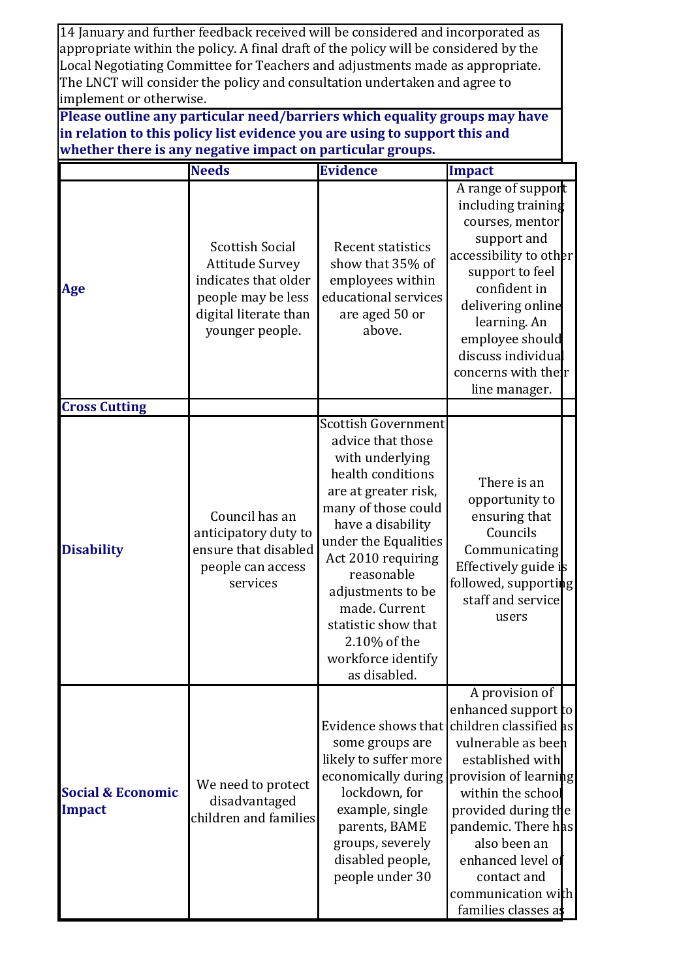14 January and further feedback received will be considered and incorporated as appropriate within the policy. A final draft of the policy will be considered by the Local Negotiating Committee for Teachers and adjustments made as appropriate. The LNCT will consider the policy and consultation undertaken and agree to implement or otherwise.

**Please outline any particular need/barriers which equality groups may have in relation to this policy list evidence you are using to support this and whether there is any negative impact on particular groups.**

|                                               | <b>Needs</b>                                                                                                                               | <b>Evidence</b>                                                                                                                                                                                                                                                                                                                            | Impact                                                                                                                                                                                                                                                                                                 |
|-----------------------------------------------|--------------------------------------------------------------------------------------------------------------------------------------------|--------------------------------------------------------------------------------------------------------------------------------------------------------------------------------------------------------------------------------------------------------------------------------------------------------------------------------------------|--------------------------------------------------------------------------------------------------------------------------------------------------------------------------------------------------------------------------------------------------------------------------------------------------------|
| Age                                           | <b>Scottish Social</b><br><b>Attitude Survey</b><br>indicates that older<br>people may be less<br>digital literate than<br>younger people. | Recent statistics<br>show that 35% of<br>employees within<br>educational services<br>are aged 50 or<br>above.                                                                                                                                                                                                                              | A range of support<br>including training<br>courses, mentor<br>support and<br>accessibility to other<br>support to feel<br>confident in<br>delivering online<br>learning. An<br>employee should<br>discuss individual<br>concerns with their<br>line manager.                                          |
| <b>Cross Cutting</b>                          |                                                                                                                                            |                                                                                                                                                                                                                                                                                                                                            |                                                                                                                                                                                                                                                                                                        |
| <b>Disability</b>                             | Council has an<br>anticipatory duty to<br>ensure that disabled<br>people can access<br>services                                            | <b>Scottish Government</b><br>advice that those<br>with underlying<br>health conditions<br>are at greater risk,<br>many of those could<br>have a disability<br>under the Equalities<br>Act 2010 requiring<br>reasonable<br>adjustments to be<br>made. Current<br>statistic show that<br>2.10% of the<br>workforce identify<br>as disabled. | There is an<br>opportunity to<br>ensuring that<br>Councils<br>Communicating<br>Effectively guide is<br>followed, supporting<br>staff and service<br>users                                                                                                                                              |
| <b>Social &amp; Economic</b><br><b>Impact</b> | We need to protect<br>disadvantaged<br>children and families                                                                               | Evidence shows that<br>some groups are<br>likely to suffer more<br>economically during<br>lockdown, for<br>example, single<br>parents, BAME<br>groups, severely<br>disabled people,<br>people under 30                                                                                                                                     | A provision of<br>enhanced support to<br>children classified as<br>vulnerable as beeh<br>established with<br>provision of learning<br>within the school<br>provided during the<br>pandemic. There has<br>also been an<br>enhanced level of<br>contact and<br>communication with<br>families classes as |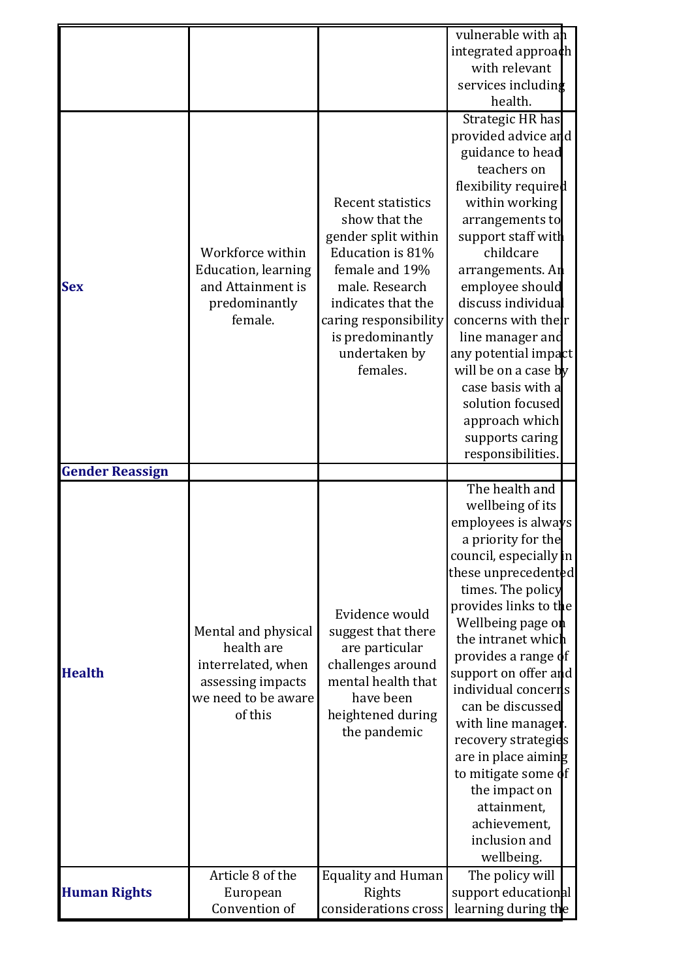|                        |                                   |                                     | vulnerable with an                           |
|------------------------|-----------------------------------|-------------------------------------|----------------------------------------------|
|                        |                                   |                                     | integrated approach                          |
|                        |                                   |                                     | with relevant                                |
|                        |                                   |                                     | services including                           |
|                        |                                   |                                     | health.                                      |
|                        |                                   |                                     | Strategic HR has                             |
|                        |                                   |                                     | provided advice and                          |
|                        |                                   |                                     | guidance to head<br>teachers on              |
|                        |                                   |                                     |                                              |
|                        |                                   | <b>Recent statistics</b>            | flexibility required<br>within working       |
|                        |                                   | show that the                       | arrangements to                              |
|                        |                                   | gender split within                 | support staff with                           |
|                        | Workforce within                  | Education is 81%                    | childcare                                    |
|                        | Education, learning               | female and 19%                      | arrangements. An                             |
| <b>Sex</b>             | and Attainment is                 | male. Research                      | employee should                              |
|                        | predominantly                     | indicates that the                  | discuss individua                            |
|                        | female.                           | caring responsibility               | concerns with thelr                          |
|                        |                                   | is predominantly                    | line manager and                             |
|                        |                                   | undertaken by                       | any potential impact                         |
|                        |                                   | females.                            | will be on a case by                         |
|                        |                                   |                                     | case basis with a                            |
|                        |                                   |                                     | solution focused                             |
|                        |                                   |                                     | approach which                               |
|                        |                                   |                                     | supports caring                              |
|                        |                                   |                                     | responsibilities.                            |
| <b>Gender Reassign</b> |                                   |                                     |                                              |
|                        |                                   |                                     |                                              |
|                        |                                   |                                     | The health and                               |
|                        |                                   |                                     | wellbeing of its                             |
|                        |                                   |                                     | employees is always                          |
|                        |                                   |                                     | a priority for the<br>council, especially in |
|                        |                                   |                                     | these unprecedented                          |
|                        |                                   |                                     | times. The policy                            |
|                        |                                   |                                     | provides links to the                        |
|                        |                                   | Evidence would                      | Wellbeing page on                            |
|                        | Mental and physical<br>health are | suggest that there                  | the intranet which                           |
|                        | interrelated, when                | are particular<br>challenges around | provides a range of                          |
| <b>Health</b>          | assessing impacts                 | mental health that                  | support on offer and                         |
|                        | we need to be aware               | have been                           | individual concerris                         |
|                        | of this                           | heightened during                   | can be discussed                             |
|                        |                                   | the pandemic                        | with line manager.                           |
|                        |                                   |                                     | recovery strategies                          |
|                        |                                   |                                     | are in place aiming                          |
|                        |                                   |                                     | to mitigate some of<br>the impact on         |
|                        |                                   |                                     | attainment,                                  |
|                        |                                   |                                     | achievement,                                 |
|                        |                                   |                                     | inclusion and                                |
|                        |                                   |                                     | wellbeing.                                   |
|                        | Article 8 of the                  | <b>Equality and Human</b>           | The policy will                              |
| <b>Human Rights</b>    | European<br>Convention of         | Rights<br>considerations cross      | support educational<br>learning during the   |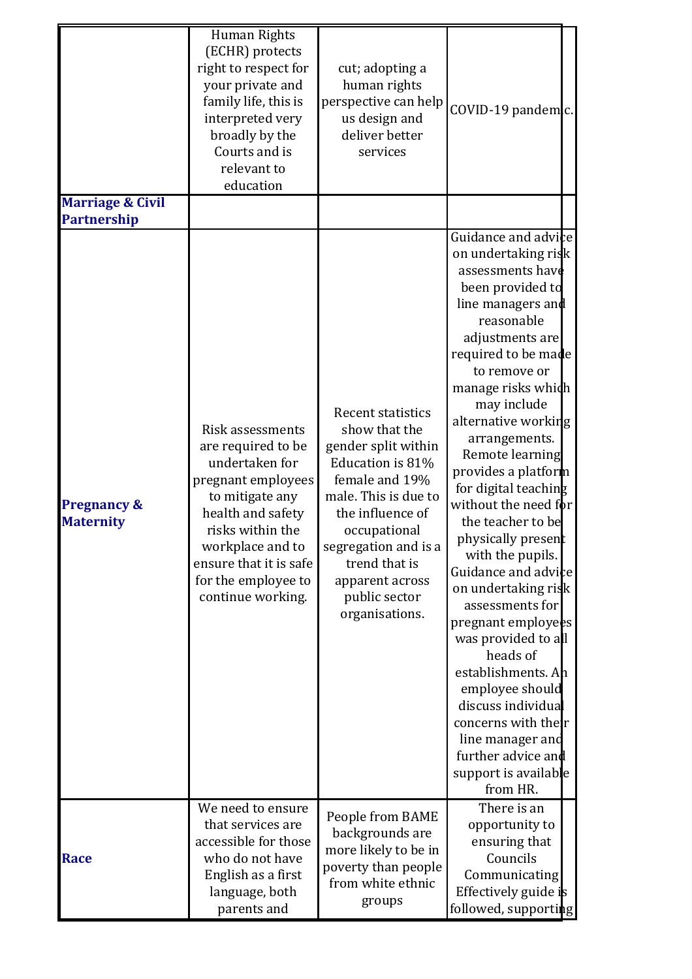|                                                   | Human Rights<br>(ECHR) protects<br>right to respect for<br>your private and<br>family life, this is<br>interpreted very<br>broadly by the<br>Courts and is<br>relevant to<br>education                                               | cut; adopting a<br>human rights<br>perspective can help<br>us design and<br>deliver better<br>services                                                                                                                                                            | COVID-19 pandemic.                                                                                                                                                                                                                                                                                                                                                                                                                                                                                                                                                                                                                                                                                                           |
|---------------------------------------------------|--------------------------------------------------------------------------------------------------------------------------------------------------------------------------------------------------------------------------------------|-------------------------------------------------------------------------------------------------------------------------------------------------------------------------------------------------------------------------------------------------------------------|------------------------------------------------------------------------------------------------------------------------------------------------------------------------------------------------------------------------------------------------------------------------------------------------------------------------------------------------------------------------------------------------------------------------------------------------------------------------------------------------------------------------------------------------------------------------------------------------------------------------------------------------------------------------------------------------------------------------------|
| <b>Marriage &amp; Civil</b><br><b>Partnership</b> |                                                                                                                                                                                                                                      |                                                                                                                                                                                                                                                                   |                                                                                                                                                                                                                                                                                                                                                                                                                                                                                                                                                                                                                                                                                                                              |
| <b>Pregnancy &amp;</b><br><b>Maternity</b>        | Risk assessments<br>are required to be<br>undertaken for<br>pregnant employees<br>to mitigate any<br>health and safety<br>risks within the<br>workplace and to<br>ensure that it is safe<br>for the employee to<br>continue working. | <b>Recent statistics</b><br>show that the<br>gender split within<br>Education is 81%<br>female and 19%<br>male. This is due to<br>the influence of<br>occupational<br>segregation and is a<br>trend that is<br>apparent across<br>public sector<br>organisations. | Guidance and advice<br>on undertaking risk<br>assessments have<br>been provided to<br>line managers and<br>reasonable<br>adjustments are<br>required to be made<br>to remove or<br>manage risks which<br>may include<br>alternative working<br>arrangements.<br>Remote learning<br>provides a platform<br>for digital teaching<br>without the need f <b>b</b> r<br>the teacher to be<br>physically present<br>with the pupils.<br>Guidance and advice<br>on undertaking risk<br>assessments for<br>pregnant employees<br>was provided to all<br>heads of<br>establishments. Ah<br>employee should<br>discuss individual<br>concerns with their<br>line manager and<br>further advice and<br>support is available<br>from HR. |
| <b>Race</b>                                       | We need to ensure<br>that services are<br>accessible for those<br>who do not have<br>English as a first<br>language, both<br>parents and                                                                                             | People from BAME<br>backgrounds are<br>more likely to be in<br>poverty than people<br>from white ethnic<br>groups                                                                                                                                                 | There is an<br>opportunity to<br>ensuring that<br>Councils<br>Communicating<br>Effectively guide is<br>followed, supporting                                                                                                                                                                                                                                                                                                                                                                                                                                                                                                                                                                                                  |